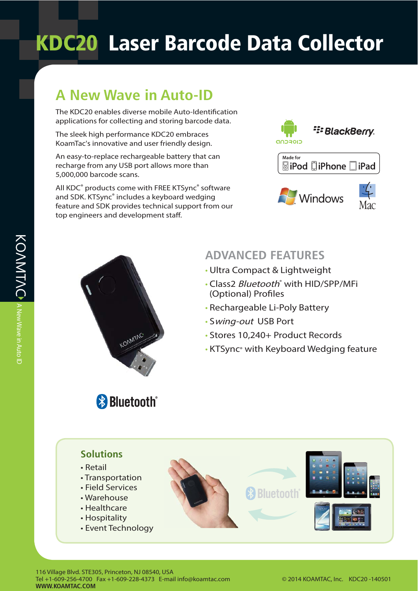## **KDC20 Laser Barcode Data Collector**

## **A New Wave in Auto-ID**

The KDC20 enables diverse mobile Auto-Identification applications for collecting and storing barcode data.

The sleek high performance KDC20 embraces KoamTac's innovative and user friendly design.

An easy-to-replace rechargeable battery that can recharge from any USB port allows more than 5,000,000 barcode scans.

All KDC® products come with FREE KTSync® software and SDK. KTSync® includes a keyboard wedging feature and SDK provides technical support from our top engineers and development staff.





**Bluetooth**®

### **ADVANCED FEATURES**

- Ultra Compact & Lightweight
- · Class2 Bluetooth® with HID/SPP/MFi (Optional) Profiles
- Rechargeable Li-Poly Battery
- Swing-out USB Port
- Stores 10,240+ Product Records
- KTSync® with Keyboard Wedging feature